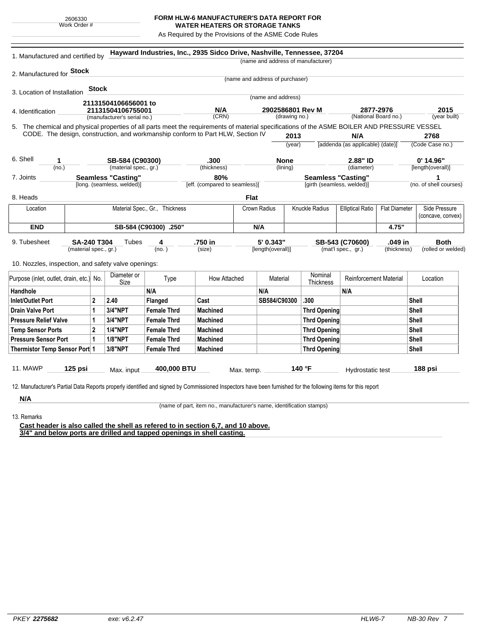## **FORM HLW-6 MANUFACTURER'S DATA REPORT FOR WATER HEATERS OR STORAGE TANKS**

As Required by the Provisions of the ASME Code Rules

| 2. Manufactured for <b>Stock</b><br>(name and address of purchaser)<br><b>Stock</b><br>3. Location of Installation<br>(name and address)<br>21131504106656001 to<br>N/A<br>2902586801 Rev M<br>2877-2976<br>21131504106755001<br>4. Identification<br>(CRN)<br>(National Board no.)<br>(drawing no.)<br>(manufacturer's serial no.)<br>5. The chemical and physical properties of all parts meet the requirements of material specifications of the ASME BOILER AND PRESSURE VESSEL<br>CODE. The design, construction, and workmanship conform to Part HLW, Section IV<br>2013<br>N/A<br>2768<br>[addenda (as applicable) (date)]<br>(year)<br>6. Shell<br>$0'$ 14.96"<br>SB-584 (C90300)<br>.300<br><b>None</b><br>2.88" ID<br>1<br>(material spec., gr.)<br>(thickness)<br>(lining)<br>(diameter)<br>[length(overall)]<br>(no.)<br><b>Seamless "Casting"</b><br>80%<br><b>Seamless "Casting"</b><br>1<br>7. Joints<br>[long. (seamless, welded)]<br>[eff. (compared to seamless)]<br>[girth (seamless, welded)]<br><b>Flat</b><br>8. Heads<br>Knuckle Radius<br>Side Pressure<br>Material Spec., Gr., Thickness<br>Crown Radius<br><b>Elliptical Ratio</b><br><b>Flat Diameter</b><br>Location<br><b>END</b><br>SB-584 (C90300) .250"<br>N/A<br>4.75"<br>SA-240 T304<br>5' 0.343"<br>.049 in<br>9. Tubesheet<br>Tubes<br>4<br>.750 in<br>SB-543 (C70600)<br><b>Both</b><br>(material spec., gr.)<br>(no.)<br>[length(overall)]<br>(thickness)<br>(size)<br>(mat'l spec., gr.)<br>10. Nozzles, inspection, and safety valve openings:<br>Nominal<br>Diameter or<br><b>Reinforcement Material</b><br>Purpose (inlet, outlet, drain, etc.) No.<br>Type<br>How Attached<br>Material<br>Location<br>Size<br>Thickness<br>N/A<br>N/A<br>Handhole<br>N/A<br>$\mathbf{2}$<br>.300<br>Inlet/Outlet Port<br>2.40<br>Flanged<br>Cast<br>SB584/C90300<br>Shell<br>3/4"NPT<br><b>Female Thrd</b><br><b>Drain Valve Port</b><br>$\mathbf 1$<br>Machined<br><b>Thrd Opening</b><br>Shell<br>3/4"NPT<br>$\mathbf{1}$<br><b>Female Thrd</b><br><b>Pressure Relief Valve</b><br><b>Machined</b><br><b>Thrd Opening</b><br>Shell<br>$\mathbf{2}$<br><b>Temp Sensor Ports</b><br><b>1/4"NPT</b><br><b>Female Thrd</b><br>Shell<br>Machined<br><b>Thrd Opening</b><br><b>1/8"NPT</b><br><b>Pressure Sensor Port</b><br>1<br><b>Female Thrd</b><br><b>Machined</b><br><b>Thrd Opening</b><br>Shell<br>3/8"NPT<br><b>Shell</b><br>Thermistor Temp Sensor Port 1<br><b>Female Thrd</b><br><b>Machined</b><br><b>Thrd Opening</b><br><b>11. MAWP</b><br>140 °F<br>$125$ psi<br>400,000 BTU<br>188 psi<br>Hydrostatic test<br>Max. input<br>Max. temp. | 1. Manufactured and certified by |  |  |  |  | Hayward Industries, Inc., 2935 Sidco Drive, Nashville, Tennessee, 37204 |  |  |  | (name and address of manufacturer) |  |              |                        |  |
|--------------------------------------------------------------------------------------------------------------------------------------------------------------------------------------------------------------------------------------------------------------------------------------------------------------------------------------------------------------------------------------------------------------------------------------------------------------------------------------------------------------------------------------------------------------------------------------------------------------------------------------------------------------------------------------------------------------------------------------------------------------------------------------------------------------------------------------------------------------------------------------------------------------------------------------------------------------------------------------------------------------------------------------------------------------------------------------------------------------------------------------------------------------------------------------------------------------------------------------------------------------------------------------------------------------------------------------------------------------------------------------------------------------------------------------------------------------------------------------------------------------------------------------------------------------------------------------------------------------------------------------------------------------------------------------------------------------------------------------------------------------------------------------------------------------------------------------------------------------------------------------------------------------------------------------------------------------------------------------------------------------------------------------------------------------------------------------------------------------------------------------------------------------------------------------------------------------------------------------------------------------------------------------------------------------------------------------------------------------------------------------------------------------------------------------------------------------------------------------------------------------------------------------------------------------------------------------------------------------------------------|----------------------------------|--|--|--|--|-------------------------------------------------------------------------|--|--|--|------------------------------------|--|--------------|------------------------|--|
|                                                                                                                                                                                                                                                                                                                                                                                                                                                                                                                                                                                                                                                                                                                                                                                                                                                                                                                                                                                                                                                                                                                                                                                                                                                                                                                                                                                                                                                                                                                                                                                                                                                                                                                                                                                                                                                                                                                                                                                                                                                                                                                                                                                                                                                                                                                                                                                                                                                                                                                                                                                                                                |                                  |  |  |  |  |                                                                         |  |  |  |                                    |  |              |                        |  |
|                                                                                                                                                                                                                                                                                                                                                                                                                                                                                                                                                                                                                                                                                                                                                                                                                                                                                                                                                                                                                                                                                                                                                                                                                                                                                                                                                                                                                                                                                                                                                                                                                                                                                                                                                                                                                                                                                                                                                                                                                                                                                                                                                                                                                                                                                                                                                                                                                                                                                                                                                                                                                                |                                  |  |  |  |  |                                                                         |  |  |  |                                    |  |              |                        |  |
|                                                                                                                                                                                                                                                                                                                                                                                                                                                                                                                                                                                                                                                                                                                                                                                                                                                                                                                                                                                                                                                                                                                                                                                                                                                                                                                                                                                                                                                                                                                                                                                                                                                                                                                                                                                                                                                                                                                                                                                                                                                                                                                                                                                                                                                                                                                                                                                                                                                                                                                                                                                                                                |                                  |  |  |  |  |                                                                         |  |  |  |                                    |  |              |                        |  |
|                                                                                                                                                                                                                                                                                                                                                                                                                                                                                                                                                                                                                                                                                                                                                                                                                                                                                                                                                                                                                                                                                                                                                                                                                                                                                                                                                                                                                                                                                                                                                                                                                                                                                                                                                                                                                                                                                                                                                                                                                                                                                                                                                                                                                                                                                                                                                                                                                                                                                                                                                                                                                                |                                  |  |  |  |  |                                                                         |  |  |  |                                    |  |              |                        |  |
|                                                                                                                                                                                                                                                                                                                                                                                                                                                                                                                                                                                                                                                                                                                                                                                                                                                                                                                                                                                                                                                                                                                                                                                                                                                                                                                                                                                                                                                                                                                                                                                                                                                                                                                                                                                                                                                                                                                                                                                                                                                                                                                                                                                                                                                                                                                                                                                                                                                                                                                                                                                                                                |                                  |  |  |  |  |                                                                         |  |  |  |                                    |  |              | 2015                   |  |
|                                                                                                                                                                                                                                                                                                                                                                                                                                                                                                                                                                                                                                                                                                                                                                                                                                                                                                                                                                                                                                                                                                                                                                                                                                                                                                                                                                                                                                                                                                                                                                                                                                                                                                                                                                                                                                                                                                                                                                                                                                                                                                                                                                                                                                                                                                                                                                                                                                                                                                                                                                                                                                |                                  |  |  |  |  |                                                                         |  |  |  |                                    |  | (year built) |                        |  |
|                                                                                                                                                                                                                                                                                                                                                                                                                                                                                                                                                                                                                                                                                                                                                                                                                                                                                                                                                                                                                                                                                                                                                                                                                                                                                                                                                                                                                                                                                                                                                                                                                                                                                                                                                                                                                                                                                                                                                                                                                                                                                                                                                                                                                                                                                                                                                                                                                                                                                                                                                                                                                                |                                  |  |  |  |  |                                                                         |  |  |  |                                    |  |              |                        |  |
|                                                                                                                                                                                                                                                                                                                                                                                                                                                                                                                                                                                                                                                                                                                                                                                                                                                                                                                                                                                                                                                                                                                                                                                                                                                                                                                                                                                                                                                                                                                                                                                                                                                                                                                                                                                                                                                                                                                                                                                                                                                                                                                                                                                                                                                                                                                                                                                                                                                                                                                                                                                                                                |                                  |  |  |  |  |                                                                         |  |  |  |                                    |  |              |                        |  |
|                                                                                                                                                                                                                                                                                                                                                                                                                                                                                                                                                                                                                                                                                                                                                                                                                                                                                                                                                                                                                                                                                                                                                                                                                                                                                                                                                                                                                                                                                                                                                                                                                                                                                                                                                                                                                                                                                                                                                                                                                                                                                                                                                                                                                                                                                                                                                                                                                                                                                                                                                                                                                                |                                  |  |  |  |  |                                                                         |  |  |  |                                    |  |              | (Code Case no.)        |  |
|                                                                                                                                                                                                                                                                                                                                                                                                                                                                                                                                                                                                                                                                                                                                                                                                                                                                                                                                                                                                                                                                                                                                                                                                                                                                                                                                                                                                                                                                                                                                                                                                                                                                                                                                                                                                                                                                                                                                                                                                                                                                                                                                                                                                                                                                                                                                                                                                                                                                                                                                                                                                                                |                                  |  |  |  |  |                                                                         |  |  |  |                                    |  |              |                        |  |
|                                                                                                                                                                                                                                                                                                                                                                                                                                                                                                                                                                                                                                                                                                                                                                                                                                                                                                                                                                                                                                                                                                                                                                                                                                                                                                                                                                                                                                                                                                                                                                                                                                                                                                                                                                                                                                                                                                                                                                                                                                                                                                                                                                                                                                                                                                                                                                                                                                                                                                                                                                                                                                |                                  |  |  |  |  |                                                                         |  |  |  |                                    |  |              |                        |  |
|                                                                                                                                                                                                                                                                                                                                                                                                                                                                                                                                                                                                                                                                                                                                                                                                                                                                                                                                                                                                                                                                                                                                                                                                                                                                                                                                                                                                                                                                                                                                                                                                                                                                                                                                                                                                                                                                                                                                                                                                                                                                                                                                                                                                                                                                                                                                                                                                                                                                                                                                                                                                                                |                                  |  |  |  |  |                                                                         |  |  |  |                                    |  |              |                        |  |
|                                                                                                                                                                                                                                                                                                                                                                                                                                                                                                                                                                                                                                                                                                                                                                                                                                                                                                                                                                                                                                                                                                                                                                                                                                                                                                                                                                                                                                                                                                                                                                                                                                                                                                                                                                                                                                                                                                                                                                                                                                                                                                                                                                                                                                                                                                                                                                                                                                                                                                                                                                                                                                |                                  |  |  |  |  |                                                                         |  |  |  |                                    |  |              | (no. of shell courses) |  |
|                                                                                                                                                                                                                                                                                                                                                                                                                                                                                                                                                                                                                                                                                                                                                                                                                                                                                                                                                                                                                                                                                                                                                                                                                                                                                                                                                                                                                                                                                                                                                                                                                                                                                                                                                                                                                                                                                                                                                                                                                                                                                                                                                                                                                                                                                                                                                                                                                                                                                                                                                                                                                                |                                  |  |  |  |  |                                                                         |  |  |  |                                    |  |              |                        |  |
|                                                                                                                                                                                                                                                                                                                                                                                                                                                                                                                                                                                                                                                                                                                                                                                                                                                                                                                                                                                                                                                                                                                                                                                                                                                                                                                                                                                                                                                                                                                                                                                                                                                                                                                                                                                                                                                                                                                                                                                                                                                                                                                                                                                                                                                                                                                                                                                                                                                                                                                                                                                                                                |                                  |  |  |  |  |                                                                         |  |  |  |                                    |  |              |                        |  |
|                                                                                                                                                                                                                                                                                                                                                                                                                                                                                                                                                                                                                                                                                                                                                                                                                                                                                                                                                                                                                                                                                                                                                                                                                                                                                                                                                                                                                                                                                                                                                                                                                                                                                                                                                                                                                                                                                                                                                                                                                                                                                                                                                                                                                                                                                                                                                                                                                                                                                                                                                                                                                                |                                  |  |  |  |  |                                                                         |  |  |  |                                    |  |              | (concave, convex)      |  |
|                                                                                                                                                                                                                                                                                                                                                                                                                                                                                                                                                                                                                                                                                                                                                                                                                                                                                                                                                                                                                                                                                                                                                                                                                                                                                                                                                                                                                                                                                                                                                                                                                                                                                                                                                                                                                                                                                                                                                                                                                                                                                                                                                                                                                                                                                                                                                                                                                                                                                                                                                                                                                                |                                  |  |  |  |  |                                                                         |  |  |  |                                    |  |              |                        |  |
|                                                                                                                                                                                                                                                                                                                                                                                                                                                                                                                                                                                                                                                                                                                                                                                                                                                                                                                                                                                                                                                                                                                                                                                                                                                                                                                                                                                                                                                                                                                                                                                                                                                                                                                                                                                                                                                                                                                                                                                                                                                                                                                                                                                                                                                                                                                                                                                                                                                                                                                                                                                                                                |                                  |  |  |  |  |                                                                         |  |  |  |                                    |  |              |                        |  |
|                                                                                                                                                                                                                                                                                                                                                                                                                                                                                                                                                                                                                                                                                                                                                                                                                                                                                                                                                                                                                                                                                                                                                                                                                                                                                                                                                                                                                                                                                                                                                                                                                                                                                                                                                                                                                                                                                                                                                                                                                                                                                                                                                                                                                                                                                                                                                                                                                                                                                                                                                                                                                                |                                  |  |  |  |  |                                                                         |  |  |  |                                    |  |              | (rolled or welded)     |  |
|                                                                                                                                                                                                                                                                                                                                                                                                                                                                                                                                                                                                                                                                                                                                                                                                                                                                                                                                                                                                                                                                                                                                                                                                                                                                                                                                                                                                                                                                                                                                                                                                                                                                                                                                                                                                                                                                                                                                                                                                                                                                                                                                                                                                                                                                                                                                                                                                                                                                                                                                                                                                                                |                                  |  |  |  |  |                                                                         |  |  |  |                                    |  |              |                        |  |
|                                                                                                                                                                                                                                                                                                                                                                                                                                                                                                                                                                                                                                                                                                                                                                                                                                                                                                                                                                                                                                                                                                                                                                                                                                                                                                                                                                                                                                                                                                                                                                                                                                                                                                                                                                                                                                                                                                                                                                                                                                                                                                                                                                                                                                                                                                                                                                                                                                                                                                                                                                                                                                |                                  |  |  |  |  |                                                                         |  |  |  |                                    |  |              |                        |  |
|                                                                                                                                                                                                                                                                                                                                                                                                                                                                                                                                                                                                                                                                                                                                                                                                                                                                                                                                                                                                                                                                                                                                                                                                                                                                                                                                                                                                                                                                                                                                                                                                                                                                                                                                                                                                                                                                                                                                                                                                                                                                                                                                                                                                                                                                                                                                                                                                                                                                                                                                                                                                                                |                                  |  |  |  |  |                                                                         |  |  |  |                                    |  |              |                        |  |
|                                                                                                                                                                                                                                                                                                                                                                                                                                                                                                                                                                                                                                                                                                                                                                                                                                                                                                                                                                                                                                                                                                                                                                                                                                                                                                                                                                                                                                                                                                                                                                                                                                                                                                                                                                                                                                                                                                                                                                                                                                                                                                                                                                                                                                                                                                                                                                                                                                                                                                                                                                                                                                |                                  |  |  |  |  |                                                                         |  |  |  |                                    |  |              |                        |  |
|                                                                                                                                                                                                                                                                                                                                                                                                                                                                                                                                                                                                                                                                                                                                                                                                                                                                                                                                                                                                                                                                                                                                                                                                                                                                                                                                                                                                                                                                                                                                                                                                                                                                                                                                                                                                                                                                                                                                                                                                                                                                                                                                                                                                                                                                                                                                                                                                                                                                                                                                                                                                                                |                                  |  |  |  |  |                                                                         |  |  |  |                                    |  |              |                        |  |
|                                                                                                                                                                                                                                                                                                                                                                                                                                                                                                                                                                                                                                                                                                                                                                                                                                                                                                                                                                                                                                                                                                                                                                                                                                                                                                                                                                                                                                                                                                                                                                                                                                                                                                                                                                                                                                                                                                                                                                                                                                                                                                                                                                                                                                                                                                                                                                                                                                                                                                                                                                                                                                |                                  |  |  |  |  |                                                                         |  |  |  |                                    |  |              |                        |  |
|                                                                                                                                                                                                                                                                                                                                                                                                                                                                                                                                                                                                                                                                                                                                                                                                                                                                                                                                                                                                                                                                                                                                                                                                                                                                                                                                                                                                                                                                                                                                                                                                                                                                                                                                                                                                                                                                                                                                                                                                                                                                                                                                                                                                                                                                                                                                                                                                                                                                                                                                                                                                                                |                                  |  |  |  |  |                                                                         |  |  |  |                                    |  |              |                        |  |
|                                                                                                                                                                                                                                                                                                                                                                                                                                                                                                                                                                                                                                                                                                                                                                                                                                                                                                                                                                                                                                                                                                                                                                                                                                                                                                                                                                                                                                                                                                                                                                                                                                                                                                                                                                                                                                                                                                                                                                                                                                                                                                                                                                                                                                                                                                                                                                                                                                                                                                                                                                                                                                |                                  |  |  |  |  |                                                                         |  |  |  |                                    |  |              |                        |  |
|                                                                                                                                                                                                                                                                                                                                                                                                                                                                                                                                                                                                                                                                                                                                                                                                                                                                                                                                                                                                                                                                                                                                                                                                                                                                                                                                                                                                                                                                                                                                                                                                                                                                                                                                                                                                                                                                                                                                                                                                                                                                                                                                                                                                                                                                                                                                                                                                                                                                                                                                                                                                                                |                                  |  |  |  |  |                                                                         |  |  |  |                                    |  |              |                        |  |
|                                                                                                                                                                                                                                                                                                                                                                                                                                                                                                                                                                                                                                                                                                                                                                                                                                                                                                                                                                                                                                                                                                                                                                                                                                                                                                                                                                                                                                                                                                                                                                                                                                                                                                                                                                                                                                                                                                                                                                                                                                                                                                                                                                                                                                                                                                                                                                                                                                                                                                                                                                                                                                |                                  |  |  |  |  |                                                                         |  |  |  |                                    |  |              |                        |  |
|                                                                                                                                                                                                                                                                                                                                                                                                                                                                                                                                                                                                                                                                                                                                                                                                                                                                                                                                                                                                                                                                                                                                                                                                                                                                                                                                                                                                                                                                                                                                                                                                                                                                                                                                                                                                                                                                                                                                                                                                                                                                                                                                                                                                                                                                                                                                                                                                                                                                                                                                                                                                                                |                                  |  |  |  |  |                                                                         |  |  |  |                                    |  |              |                        |  |
|                                                                                                                                                                                                                                                                                                                                                                                                                                                                                                                                                                                                                                                                                                                                                                                                                                                                                                                                                                                                                                                                                                                                                                                                                                                                                                                                                                                                                                                                                                                                                                                                                                                                                                                                                                                                                                                                                                                                                                                                                                                                                                                                                                                                                                                                                                                                                                                                                                                                                                                                                                                                                                |                                  |  |  |  |  |                                                                         |  |  |  |                                    |  |              |                        |  |
|                                                                                                                                                                                                                                                                                                                                                                                                                                                                                                                                                                                                                                                                                                                                                                                                                                                                                                                                                                                                                                                                                                                                                                                                                                                                                                                                                                                                                                                                                                                                                                                                                                                                                                                                                                                                                                                                                                                                                                                                                                                                                                                                                                                                                                                                                                                                                                                                                                                                                                                                                                                                                                |                                  |  |  |  |  |                                                                         |  |  |  |                                    |  |              |                        |  |
|                                                                                                                                                                                                                                                                                                                                                                                                                                                                                                                                                                                                                                                                                                                                                                                                                                                                                                                                                                                                                                                                                                                                                                                                                                                                                                                                                                                                                                                                                                                                                                                                                                                                                                                                                                                                                                                                                                                                                                                                                                                                                                                                                                                                                                                                                                                                                                                                                                                                                                                                                                                                                                | N/A                              |  |  |  |  |                                                                         |  |  |  |                                    |  |              |                        |  |

13. Remarks

(name of part, item no., manufacturer's name, identification stamps)

**Cast header is also called the shell as refered to in section 6,7, and 10 above. 3/4" and below ports are drilled and tapped openings in shell casting.**